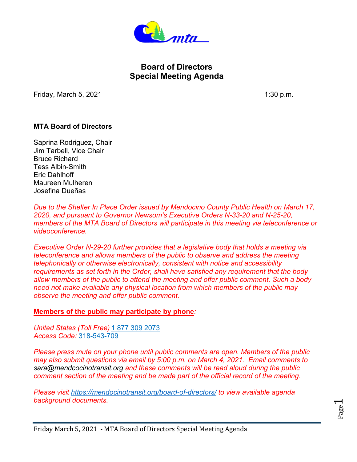

# **Board of Directors Special Meeting Agenda**

Friday, March 5, 2021 **1:30 p.m.** 

## **MTA Board of Directors**

Saprina Rodriguez, Chair Jim Tarbell, Vice Chair Bruce Richard Tess Albin-Smith Eric Dahlhoff Maureen Mulheren Josefina Dueñas

*Due to the Shelter In Place Order issued by Mendocino County Public Health on March 17, 2020, and pursuant to Governor Newsom's Executive Orders N-33-20 and N-25-20, members of the MTA Board of Directors will participate in this meeting via teleconference or videoconference.*

*Executive Order N-29-20 further provides that a legislative body that holds a meeting via teleconference and allows members of the public to observe and address the meeting telephonically or otherwise electronically, consistent with notice and accessibility requirements as set forth in the Order, shall have satisfied any requirement that the body allow members of the public to attend the meeting and offer public comment. Such a body need not make available any physical location from which members of the public may observe the meeting and offer public comment.*

**Members of the public may participate by phone***:*

*United States (Toll Free)* [1 877 309 2073](tel:+18773092073,,318543709) *Access Code:* 318-543-709

*Please press mute on your phone until public comments are open. Members of the public may also submit questions via email by 5:00 p.m. on March 4, 2021. Email comments to sara@mendcocinotransit.org and these comments will be read aloud during the public comment section of the meeting and be made part of the official record of the meeting.* 

*Please visit <https://mendocinotransit.org/board-of-directors/> to view available agenda background documents.*

Page  $\overline{\phantom{0}}$